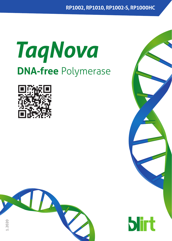# *TaqNova* **DNA-free** Polymerase





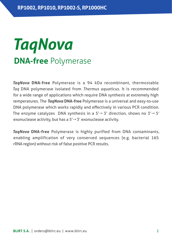### *TaqNova*  **DNA-free** Polymerase

*TaqNova* **DNA-free** Polymerase is a 94 kDa recombinant, thermostable *Taq* DNA polymerase isolated from *Thermus aquaticus*. It is recommended for a wide range of applications which require DNA synthesis at extremely high temperatures. The *TaqNova* **DNA-free** Polymerase is a universal and easy-to-use DNA polymerase which works rapidly and effectively in various PCR condition. The enzyme catalyzes DNA synthesis in a  $5' \rightarrow 3'$  direction, shows no  $3' \rightarrow 5'$ exonuclease activity, but has a  $5' \rightarrow 3'$  exonuclease activity.

*TaqNova* **DNA-free** Polymerase is highly purified from DNA contaminants, enabling amplification of very conserved sequences (e.g. bacterial 16S rRNA region) without risk of false positive PCR results.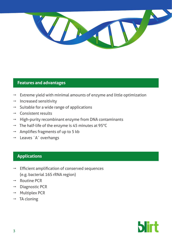

#### **Features and advantages**

- Extreme yield with minimal amounts of enzyme and little optimization
- $\rightarrow$  Increased sensitivity
- $\rightarrow$  Suitable for a wide range of applications
- $\rightarrow$  Consistent results
- High-purity recombinant enzyme from DNA contaminants
- $\rightarrow$  The half-life of the enzyme is 45 minutes at 95°C
- Amplifies fragments of up to 5 kb
- $\rightarrow$  Leaves ´A´ overhangs

#### **Applications**

- Efficient amplification of conserved sequences (e.g. bacterial 16S rRNA region)
- p Routine PCR
- Diagnostic PCR
- **Multiplex PCR**
- TA cloning

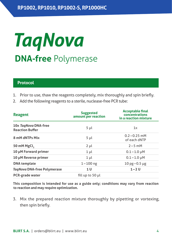## *TaqNova* **DNA-free** Polymerase

#### **Protocol**

- 1. Prior to use, thaw the reagents completely, mix thoroughly and spin briefly.
- 2. Add the following reagents to a sterile, nuclease-free PCR tube:

| <b>Reagent</b>                                 | <b>Suggested</b><br>amount per reaction | <b>Acceptable final</b><br>concentrations<br>in a reaction mixture |
|------------------------------------------------|-----------------------------------------|--------------------------------------------------------------------|
| 10x TagNova DNA-free<br><b>Reaction Buffer</b> | 5 <sub>µ</sub>                          | 1x                                                                 |
| 8 mM dNTPs Mix                                 | 5 <sub>µ</sub>                          | $0.2 - 0.25$ mM<br>of each dNTP                                    |
| 50 mM MgCl.                                    | $2 \mu l$                               | $2 - 5$ mM                                                         |
| 10 µM Forward primer                           | $1 \mu l$                               | $0.1 - 1.0 \mu M$                                                  |
| 10 µM Reverse primer                           | $1 \mu l$                               | $0.1 - 1.0 \mu M$                                                  |
| <b>DNA</b> template                            | $1 - 100$ ng                            | $10 \text{ pg} - 0.5 \text{ µg}$                                   |
| TagNova DNA-free Polymerase                    | 1 U                                     | $1 - 2U$                                                           |
| PCR-grade water                                | fill up to 50 µl                        |                                                                    |

**This composition is intended for use as a guide only; conditions may vary from reaction to reaction and may require optimization.**

3. Mix the prepared reaction mixture thoroughly by pipetting or vortexing, then spin briefly.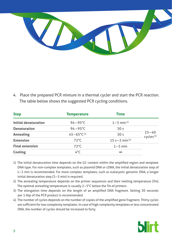

4. Place the prepared PCR mixture in a thermal cycler and start the PCR reaction. The table below shows the suggested PCR cycling conditions.

| <b>Step</b>            | <b>Temperature</b>       | <b>Time</b>                 |                                    |
|------------------------|--------------------------|-----------------------------|------------------------------------|
| Initial denaturation   | $94 - 95^{\circ}$ C      | $1 - 5$ min <sup>(1)</sup>  |                                    |
| <b>Denaturation</b>    | $94 - 95^{\circ}$ C      | 30 <sub>s</sub>             |                                    |
| Annealing              | $45 - 65^{\circ}C^{(2)}$ | 30 <sub>s</sub>             | $25 - 40$<br>cycles <sup>(4)</sup> |
| <b>Extension</b>       | $72^{\circ}$ C           | 15 s – 2 min <sup>(3)</sup> |                                    |
| <b>Final extension</b> | $72^{\circ}$ C           | $1 - 5$ min                 |                                    |
| Cooling                | 4°C                      | $\infty$                    |                                    |

- 1) The initial denaturation time depends on the GC content within the amplified region and template DNA type. For non-complex templates, such as plasmid DNA or cDNA, the initial denaturation step of 1–2 min is recommended. For more complex templates, such as eukaryotic genomic DNA, a longer initial denaturation step (3–5 min) is required.
- 2) The annealing temperature depends on the primer sequences and their melting temperature (Tm). The optimal annealing temperature is usually 2–5°C below the Tm of primers.
- 3) The elongation time depends on the length of an amplified DNA fragment. Setting 30 seconds per 1 kbp of the PCR product is recommended.
- 4) The number of cycles depends on the number of copies of the amplified gene fragment. Thirty cycles are sufficient for low complexity templates. In case of high complexity templates or less concentrated DNA, the number of cycles should be increased to forty.

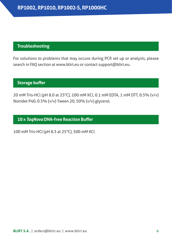#### **Troubleshooting**

For solutions to problems that may occure during PCR set up or analysis, please search in FAQ section at www.blirt.eu or contact support@blirt.eu.

#### **Storage buffer**

20 mM Tris-HCl (pH 8.0 at 25°C), 100 mM KCl, 0.1 mM EDTA, 1 mM DTT, 0.5% (v/v) Nonidet P40, 0.5% (v/v) Tween 20, 50% (v/v) glycerol.

#### **10 x** *TaqNova* **DNA-free Reaction Buffer**

100 mM Tris-HCl (pH 8.3 at 25°C), 500 mM KCl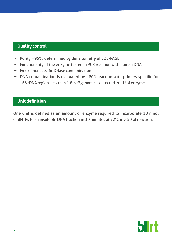#### **Quality control**

- Purity > 95% determined by densitometry of SDS-PAGE
- $\rightarrow$  Functionality of the enzyme tested in PCR reaction with human DNA
- $\rightarrow$  Free of nonspecific DNase contamination
- $\rightarrow$  DNA contamination is evaluated by qPCR reaction with primers specific for 16S rDNA region, less than 1 *E. coli* genome is detected in 1 U of enzyme

#### **Unit definition**

One unit is defined as an amount of enzyme required to incorporate 10 nmol of dNTPs to an insoluble DNA fraction in 30 minutes at 72°C in a 50 μl reaction.